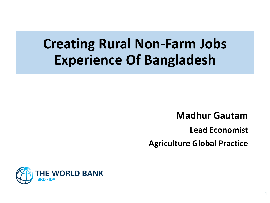# **Creating Rural Non-Farm Jobs Experience Of Bangladesh**

**Madhur Gautam**

**Lead Economist**

1

**Agriculture Global Practice**

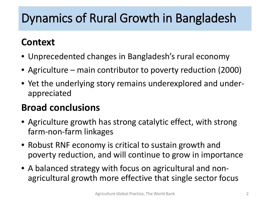# Dynamics of Rural Growth in Bangladesh

#### **Context**

- Unprecedented changes in Bangladesh's rural economy
- Agriculture main contributor to poverty reduction (2000)
- Yet the underlying story remains underexplored and underappreciated

#### **Broad conclusions**

- Agriculture growth has strong catalytic effect, with strong farm-non-farm linkages
- Robust RNF economy is critical to sustain growth and poverty reduction, and will continue to grow in importance
- A balanced strategy with focus on agricultural and nonagricultural growth more effective that single sector focus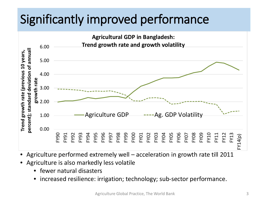# Significantly improved performance



- Agriculture performed extremely well acceleration in growth rate till 2011
- Agriculture is also markedly less volatile
	- fewer natural disasters
	- increased resilience: irrigation; technology; sub-sector performance.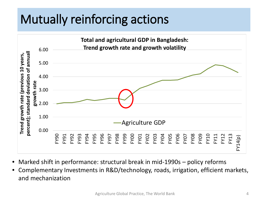# Mutually reinforcing actions



- Marked shift in performance: structural break in mid-1990s policy reforms
- Complementary Investments in R&D/technology, roads, irrigation, efficient markets, and mechanization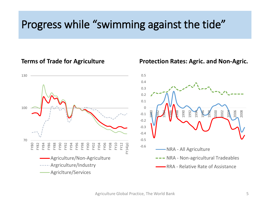### Progress while "swimming against the tide"

#### **Terms of Trade for Agriculture**



#### **Protection Rates: Agric. and Non-Agric.**

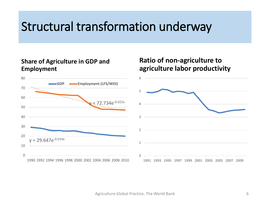# Structural transformation underway

#### **Share of Agriculture in GDP and Employment**



#### **Ratio of non-agriculture to agriculture labor productivity**

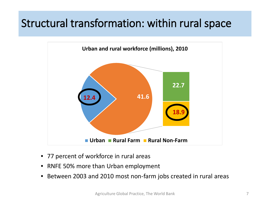#### Structural transformation: within rural space



- 77 percent of workforce in rural areas
- RNFE 50% more than Urban employment
- Between 2003 and 2010 most non-farm jobs created in rural areas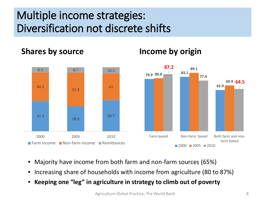### Multiple income strategies: Diversification not discrete shifts

#### **Shares by source**



**Income by origin**

- Majority have income from both farm and non-farm sources (65%)
- Increasing share of households with income from agriculture (80 to 87%)
- **Keeping one "leg" in agriculture in strategy to climb out of poverty**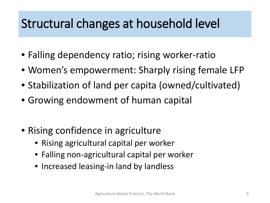# Structural changes at household level

- Falling dependency ratio; rising worker-ratio
- Women's empowerment: Sharply rising female LFP
- Stabilization of land per capita (owned/cultivated)
- Growing endowment of human capital
- Rising confidence in agriculture
	- Rising agricultural capital per worker
	- Falling non-agricultural capital per worker
	- Increased leasing-in land by landless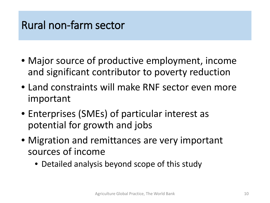### Rural non-farm sector

- Major source of productive employment, income and significant contributor to poverty reduction
- Land constraints will make RNF sector even more important
- Enterprises (SMEs) of particular interest as potential for growth and jobs
- Migration and remittances are very important sources of income
	- Detailed analysis beyond scope of this study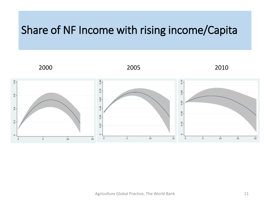#### Share of NF Income with rising income/Capita

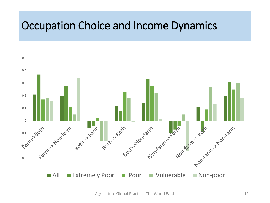#### Occupation Choice and Income Dynamics

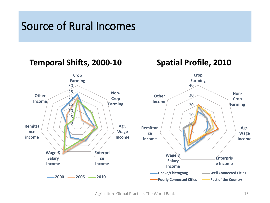#### Source of Rural Incomes

#### **Temporal Shifts, 2000-10 Spatial Profile, 2010**

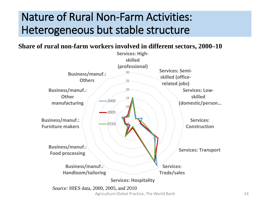### Nature of Rural Non-Farm Activities: Heterogeneous but stable structure

#### **Share of rural non-farm workers involved in different sectors, 2000–10**

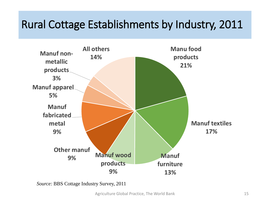### Rural Cottage Establishments by Industry, 2011



*Source:* BBS Cottage Industry Survey, 2011

Agriculture Global Practice, The World Bank 15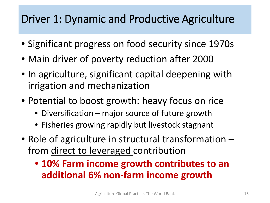### Driver 1: Dynamic and Productive Agriculture

- Significant progress on food security since 1970s
- Main driver of poverty reduction after 2000
- In agriculture, significant capital deepening with irrigation and mechanization
- Potential to boost growth: heavy focus on rice
	- Diversification major source of future growth
	- Fisheries growing rapidly but livestock stagnant
- Role of agriculture in structural transformation from direct to leveraged contribution
	- **10% Farm income growth contributes to an additional 6% non-farm income growth**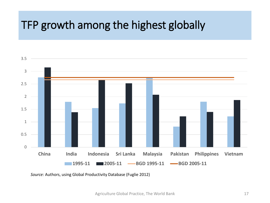### TFP growth among the highest globally



*Source:* Authors, using Global Productivity Database (Fuglie 2012)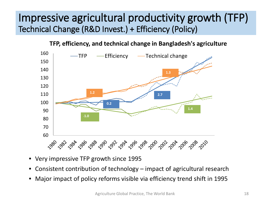#### Impressive agricultural productivity growth (TFP) Technical Change (R&D Invest.) + Efficiency (Policy)

#### **TFP, efficiency, and technical change in Bangladesh's agriculture**



- Very impressive TFP growth since 1995
- Consistent contribution of technology impact of agricultural research
- Major impact of policy reforms visible via efficiency trend shift in 1995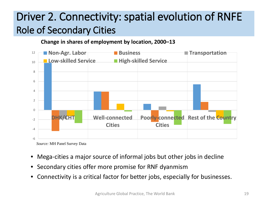### Driver 2. Connectivity: spatial evolution of RNFE Role of Secondary Cities

**Change in shares of employment by location, 2000–13**



*Source:* MH Panel Survey Data

- Mega-cities a major source of informal jobs but other jobs in decline
- Secondary cities offer more promise for RNF dyanmism
- Connectivity is a critical factor for better jobs, especially for businesses.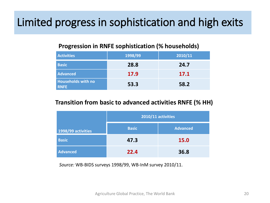### Limited progress in sophistication and high exits

#### **Progression in RNFE sophistication (% households)**

| <b>Activities</b>                        | 1998/99 | 2010/11 |
|------------------------------------------|---------|---------|
| <b>Basic</b>                             | 28.8    | 24.7    |
| <b>Advanced</b>                          | 17.9    | 17.1    |
| <b>Households with no</b><br><b>RNFE</b> | 53.3    | 58.2    |

#### **Transition from basic to advanced activities RNFE (% HH)**

|                    | 2010/11 activities |          |
|--------------------|--------------------|----------|
| 1998/99 activities | <b>Basic</b>       | Advanced |
| <b>Basic</b>       | 47.3               | 15.0     |
| <b>Advanced</b>    | 22.4               | 36.8     |

*Source:* WB-BIDS surveys 1998/99, WB-InM survey 2010/11.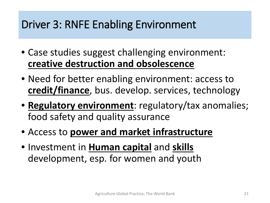### Driver 3: RNFE Enabling Environment

- Case studies suggest challenging environment: **creative destruction and obsolescence**
- Need for better enabling environment: access to **credit/finance**, bus. develop. services, technology
- **Regulatory environment**: regulatory/tax anomalies; food safety and quality assurance
- Access to **power and market infrastructure**
- Investment in **Human capital** and **skills** development, esp. for women and youth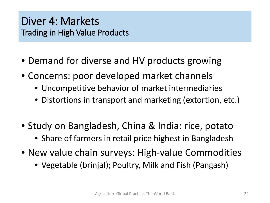#### Diver 4: Markets Trading in High Value Products

- Demand for diverse and HV products growing
- Concerns: poor developed market channels
	- Uncompetitive behavior of market intermediaries
	- Distortions in transport and marketing (extortion, etc.)
- Study on Bangladesh, China & India: rice, potato
	- Share of farmers in retail price highest in Bangladesh
- New value chain surveys: High-value Commodities
	- Vegetable (brinjal); Poultry, Milk and Fish (Pangash)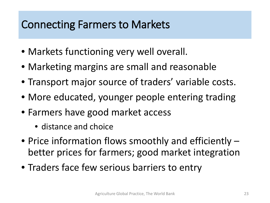#### Connecting Farmers to Markets

- Markets functioning very well overall.
- Marketing margins are small and reasonable
- Transport major source of traders' variable costs.
- More educated, younger people entering trading
- Farmers have good market access
	- distance and choice
- Price information flows smoothly and efficiently better prices for farmers; good market integration
- Traders face few serious barriers to entry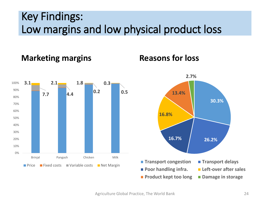### Key Findings: Low margins and low physical product loss

**Marketing margins**



#### **Reasons for loss**

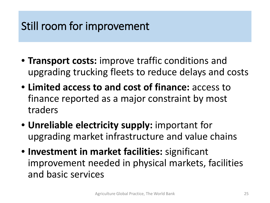## Still room for improvement

- **Transport costs:** improve traffic conditions and upgrading trucking fleets to reduce delays and costs
- **Limited access to and cost of finance:** access to finance reported as a major constraint by most traders
- **Unreliable electricity supply:** important for upgrading market infrastructure and value chains
- **Investment in market facilities:** significant improvement needed in physical markets, facilities and basic services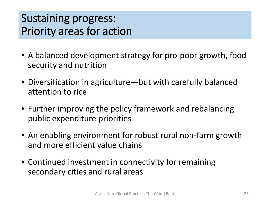### Sustaining progress: Priority areas for action

- A balanced development strategy for pro-poor growth, food security and nutrition
- Diversification in agriculture—but with carefully balanced attention to rice
- Further improving the policy framework and rebalancing public expenditure priorities
- An enabling environment for robust rural non-farm growth and more efficient value chains
- Continued investment in connectivity for remaining secondary cities and rural areas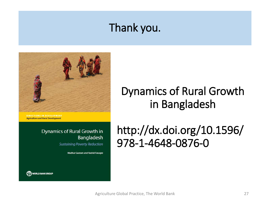### Thank you.



**Agriculture and Rural Development** 

#### **Dynamics of Rural Growth in** Bangladesh

**Sustaining Poverty Reduction** 

Madhur Gautam and Rashid Farugee

### Dynamics of Rural Growth in Bangladesh

### http://dx.doi.org/10.1596/ 978-1-4648-0876-0